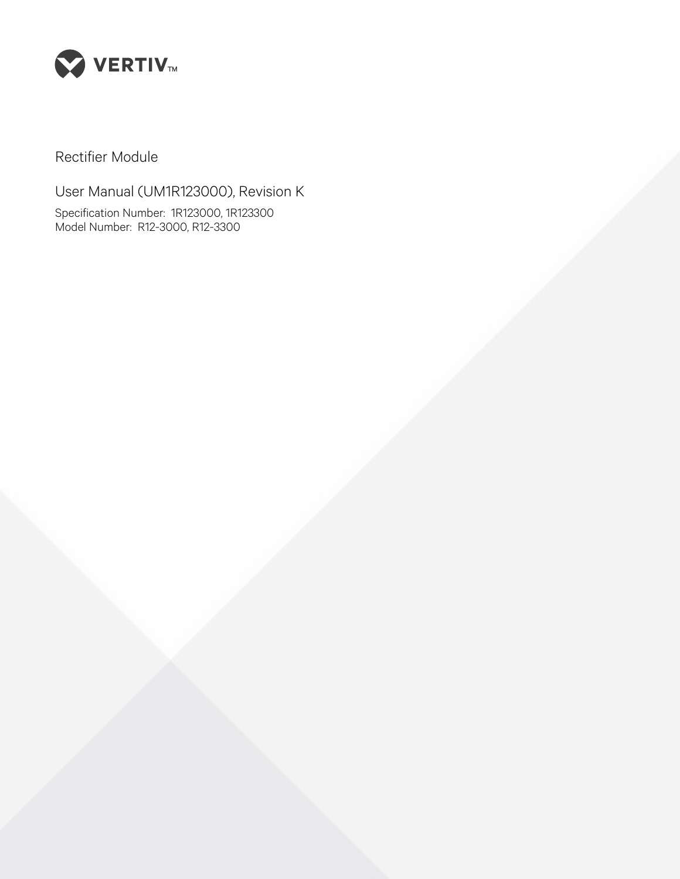

Rectifier Module

User Manual (UM1R123000), Revision K Specification Number: 1R123000, 1R123300 Model Number: R12-3000, R12-3300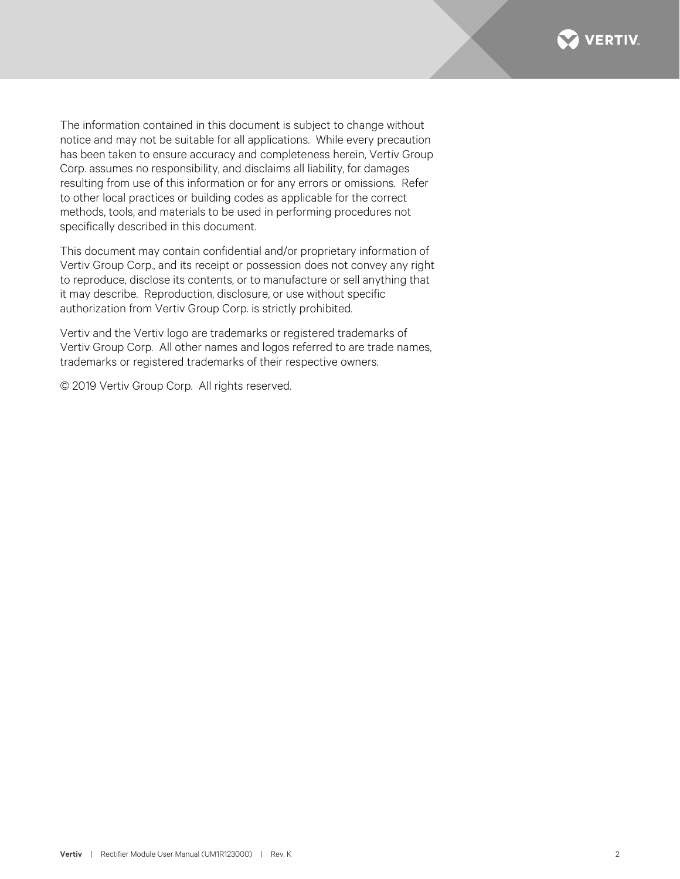

The information contained in this document is subject to change without notice and may not be suitable for all applications. While every precaution has been taken to ensure accuracy and completeness herein, Vertiv Group Corp. assumes no responsibility, and disclaims all liability, for damages resulting from use of this information or for any errors or omissions. Refer to other local practices or building codes as applicable for the correct methods, tools, and materials to be used in performing procedures not specifically described in this document.

This document may contain confidential and/or proprietary information of Vertiv Group Corp., and its receipt or possession does not convey any right to reproduce, disclose its contents, or to manufacture or sell anything that it may describe. Reproduction, disclosure, or use without specific authorization from Vertiv Group Corp. is strictly prohibited.

Vertiv and the Vertiv logo are trademarks or registered trademarks of Vertiv Group Corp. All other names and logos referred to are trade names, trademarks or registered trademarks of their respective owners.

© 2019 Vertiv Group Corp. All rights reserved.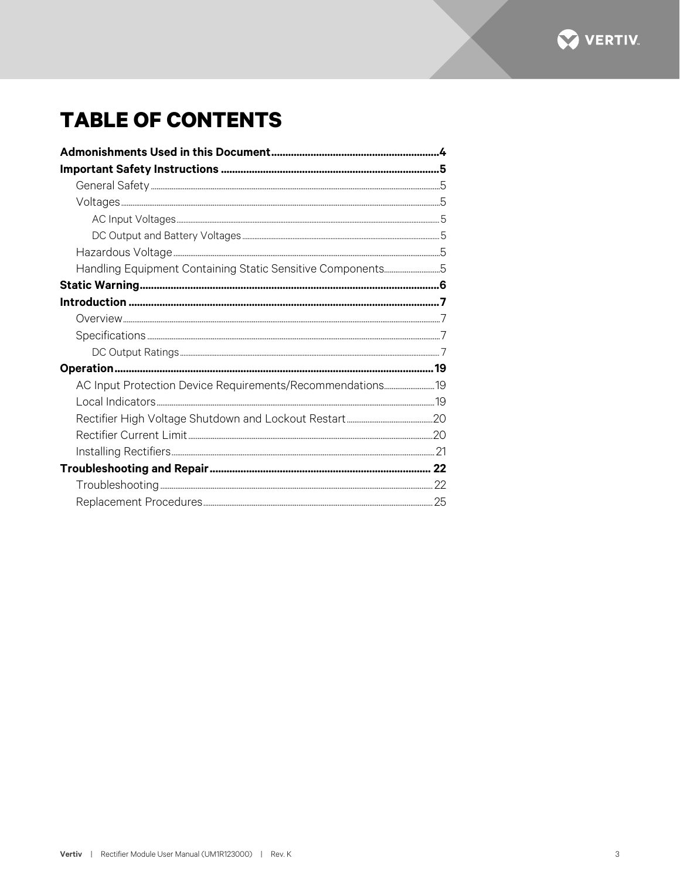

# **TABLE OF CONTENTS**

| Handling Equipment Containing Static Sensitive Components5 |  |
|------------------------------------------------------------|--|
|                                                            |  |
|                                                            |  |
|                                                            |  |
|                                                            |  |
|                                                            |  |
|                                                            |  |
| AC Input Protection Device Requirements/Recommendations 19 |  |
|                                                            |  |
|                                                            |  |
|                                                            |  |
|                                                            |  |
|                                                            |  |
|                                                            |  |
|                                                            |  |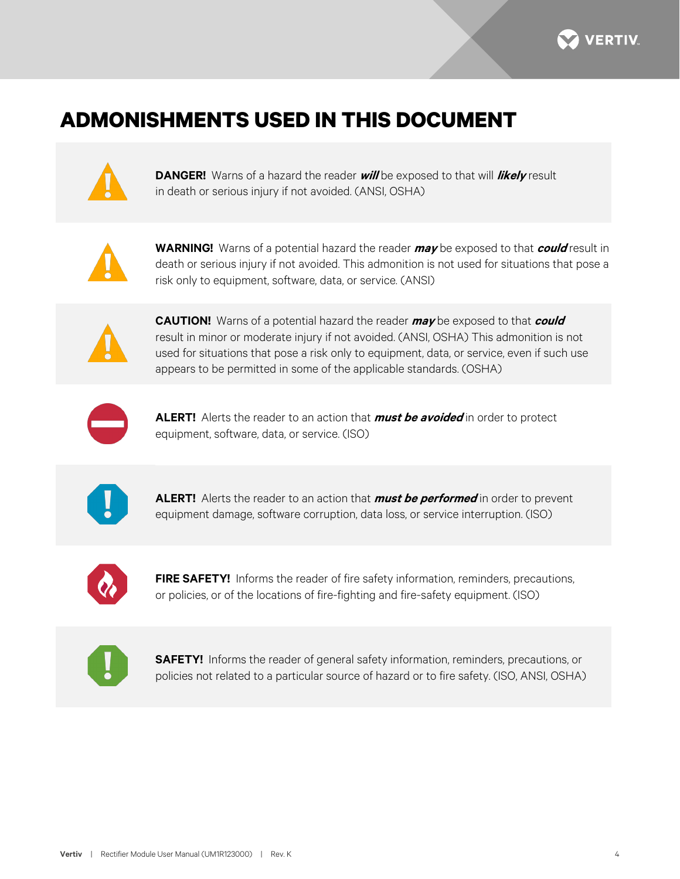

# <span id="page-3-0"></span>**ADMONISHMENTS USED IN THIS DOCUMENT**



**DANGER!** Warns of a hazard the reader **will** be exposed to that will **likely** result in death or serious injury if not avoided. (ANSI, OSHA)



**WARNING!** Warns of a potential hazard the reader **may** be exposed to that **could** result in death or serious injury if not avoided. This admonition is not used for situations that pose a risk only to equipment, software, data, or service. (ANSI)



**CAUTION!** Warns of a potential hazard the reader **may** be exposed to that **could** result in minor or moderate injury if not avoided. (ANSI, OSHA) This admonition is not used for situations that pose a risk only to equipment, data, or service, even if such use appears to be permitted in some of the applicable standards. (OSHA)



**ALERT!** Alerts the reader to an action that **must be avoided** in order to protect equipment, software, data, or service. (ISO)



**ALERT!** Alerts the reader to an action that **must be performed** in order to prevent equipment damage, software corruption, data loss, or service interruption. (ISO)



**FIRE SAFETY!** Informs the reader of fire safety information, reminders, precautions, or policies, or of the locations of fire-fighting and fire-safety equipment. (ISO)



**SAFETY!** Informs the reader of general safety information, reminders, precautions, or policies not related to a particular source of hazard or to fire safety. (ISO, ANSI, OSHA)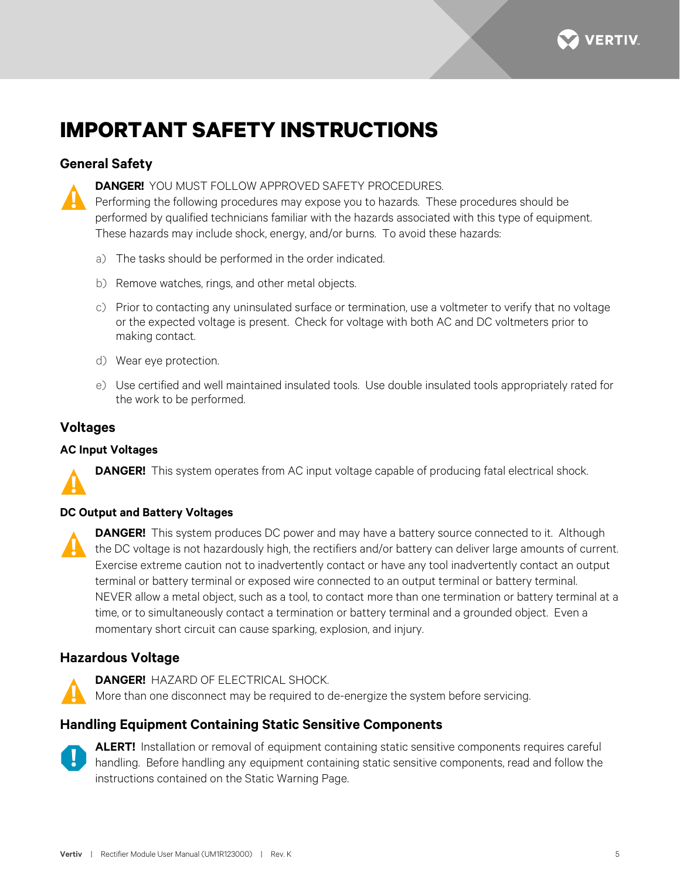

# <span id="page-4-0"></span>**IMPORTANT SAFETY INSTRUCTIONS**

# <span id="page-4-1"></span>**General Safety**



**DANGER!** YOU MUST FOLLOW APPROVED SAFETY PROCEDURES.

Performing the following procedures may expose you to hazards. These procedures should be performed by qualified technicians familiar with the hazards associated with this type of equipment. These hazards may include shock, energy, and/or burns. To avoid these hazards:

- a) The tasks should be performed in the order indicated.
- b) Remove watches, rings, and other metal objects.
- c) Prior to contacting any uninsulated surface or termination, use a voltmeter to verify that no voltage or the expected voltage is present. Check for voltage with both AC and DC voltmeters prior to making contact.
- d) Wear eye protection.
- e) Use certified and well maintained insulated tools. Use double insulated tools appropriately rated for the work to be performed.

# <span id="page-4-2"></span>**Voltages**

## <span id="page-4-3"></span>**AC Input Voltages**

**DANGER!** This system operates from AC input voltage capable of producing fatal electrical shock.

## <span id="page-4-4"></span>**DC Output and Battery Voltages**



**DANGER!** This system produces DC power and may have a battery source connected to it. Although the DC voltage is not hazardously high, the rectifiers and/or battery can deliver large amounts of current. Exercise extreme caution not to inadvertently contact or have any tool inadvertently contact an output terminal or battery terminal or exposed wire connected to an output terminal or battery terminal. NEVER allow a metal object, such as a tool, to contact more than one termination or battery terminal at a time, or to simultaneously contact a termination or battery terminal and a grounded object. Even a momentary short circuit can cause sparking, explosion, and injury.

## <span id="page-4-5"></span>**Hazardous Voltage**



**DANGER!** HAZARD OF ELECTRICAL SHOCK. More than one disconnect may be required to de-energize the system before servicing.

# <span id="page-4-6"></span>**Handling Equipment Containing Static Sensitive Components**



**ALERT!** Installation or removal of equipment containing static sensitive components requires careful handling. Before handling any equipment containing static sensitive components, read and follow the instructions contained on the Static Warning Page.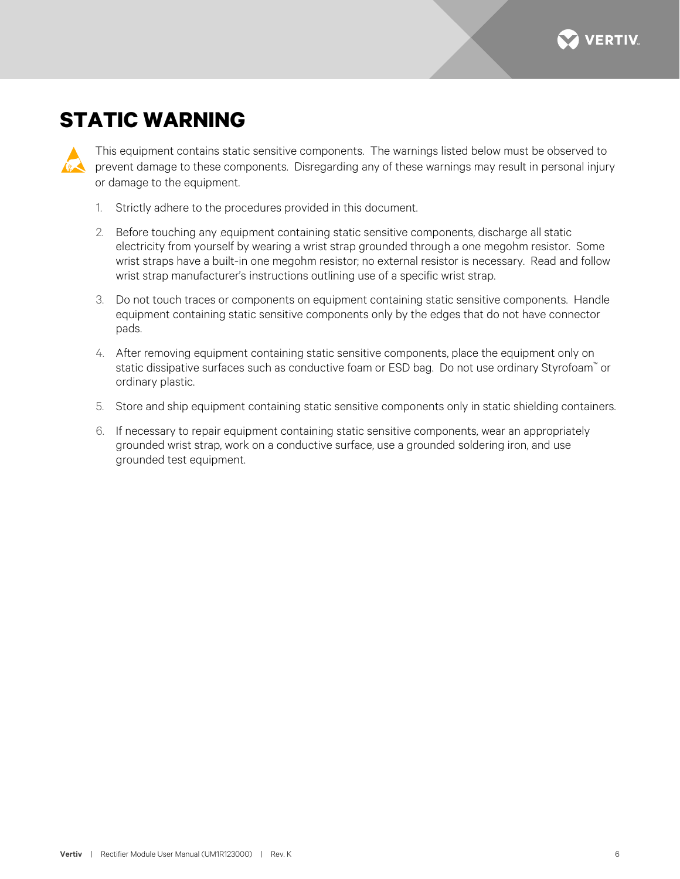

# <span id="page-5-0"></span>**STATIC WARNING**

This equipment contains static sensitive components. The warnings listed below must be observed to prevent damage to these components. Disregarding any of these warnings may result in personal injury or damage to the equipment.

- 1. Strictly adhere to the procedures provided in this document.
- 2. Before touching any equipment containing static sensitive components, discharge all static electricity from yourself by wearing a wrist strap grounded through a one megohm resistor. Some wrist straps have a built-in one megohm resistor; no external resistor is necessary. Read and follow wrist strap manufacturer's instructions outlining use of a specific wrist strap.
- 3. Do not touch traces or components on equipment containing static sensitive components. Handle equipment containing static sensitive components only by the edges that do not have connector pads.
- 4. After removing equipment containing static sensitive components, place the equipment only on static dissipative surfaces such as conductive foam or ESD bag. Do not use ordinary Styrofoam™ or ordinary plastic.
- 5. Store and ship equipment containing static sensitive components only in static shielding containers.
- 6. If necessary to repair equipment containing static sensitive components, wear an appropriately grounded wrist strap, work on a conductive surface, use a grounded soldering iron, and use grounded test equipment.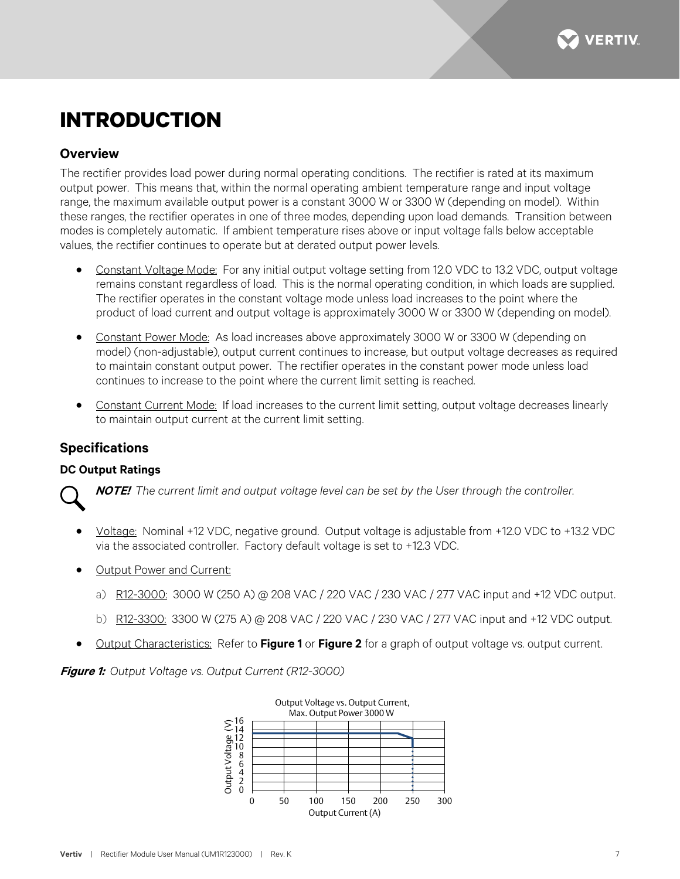

# <span id="page-6-0"></span>**INTRODUCTION**

## <span id="page-6-1"></span>**Overview**

The rectifier provides load power during normal operating conditions. The rectifier is rated at its maximum output power. This means that, within the normal operating ambient temperature range and input voltage range, the maximum available output power is a constant 3000 W or 3300 W (depending on model). Within these ranges, the rectifier operates in one of three modes, depending upon load demands. Transition between modes is completely automatic. If ambient temperature rises above or input voltage falls below acceptable values, the rectifier continues to operate but at derated output power levels.

- Constant Voltage Mode: For any initial output voltage setting from 12.0 VDC to 13.2 VDC, output voltage remains constant regardless of load. This is the normal operating condition, in which loads are supplied. The rectifier operates in the constant voltage mode unless load increases to the point where the product of load current and output voltage is approximately 3000 W or 3300 W (depending on model).
- Constant Power Mode: As load increases above approximately 3000 W or 3300 W (depending on model) (non-adjustable), output current continues to increase, but output voltage decreases as required to maintain constant output power. The rectifier operates in the constant power mode unless load continues to increase to the point where the current limit setting is reached.
- Constant Current Mode: If load increases to the current limit setting, output voltage decreases linearly to maintain output current at the current limit setting.

## <span id="page-6-2"></span>**Specifications**

### <span id="page-6-3"></span>**DC Output Ratings**



**NOTE!** *The current limit and output voltage level can be set by the User through the controller.*

- Voltage: Nominal +12 VDC, negative ground. Output voltage is adjustable from +12.0 VDC to +13.2 VDC via the associated controller. Factory default voltage is set to +12.3 VDC.
- Output Power and Current:
	- a) R12-3000: 3000 W (250 A) @ 208 VAC / 220 VAC / 230 VAC / 277 VAC input and +12 VDC output.
	- b) R12-3300: 3300 W (275 A) @ 208 VAC / 220 VAC / 230 VAC / 277 VAC input and +12 VDC output.
- Output Characteristics: Refer to **[Figure 1](#page-6-4)** or **[Figure 2](#page-7-0)** for a graph of output voltage vs. output current.

<span id="page-6-4"></span>**Figure 1:** *Output Voltage vs. Output Current (R12-3000)*

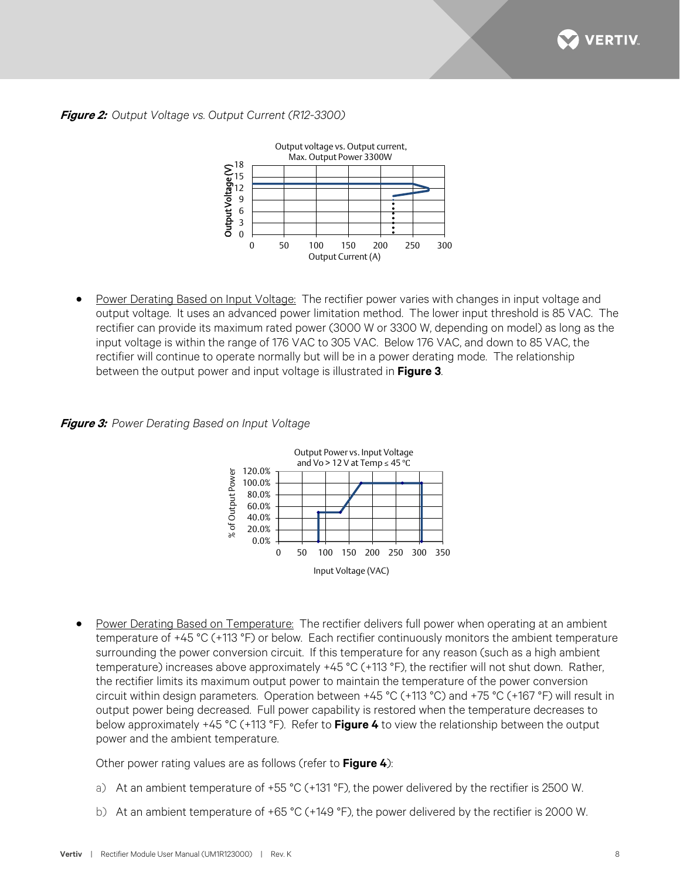

#### <span id="page-7-0"></span>**Figure 2:** *Output Voltage vs. Output Current (R12-3300)*



• Power Derating Based on Input Voltage: The rectifier power varies with changes in input voltage and output voltage. It uses an advanced power limitation method. The lower input threshold is 85 VAC. The rectifier can provide its maximum rated power (3000 W or 3300 W, depending on model) as long as the input voltage is within the range of 176 VAC to 305 VAC. Below 176 VAC, and down to 85 VAC, the rectifier will continue to operate normally but will be in a power derating mode. The relationship between the output power and input voltage is illustrated in **[Figure 3](#page-7-1)**.

#### <span id="page-7-1"></span>**Figure 3:** *Power Derating Based on Input Voltage*



• Power Derating Based on Temperature: The rectifier delivers full power when operating at an ambient temperature of +45 °C (+113 °F) or below. Each rectifier continuously monitors the ambient temperature surrounding the power conversion circuit. If this temperature for any reason (such as a high ambient temperature) increases above approximately +45 °C (+113 °F), the rectifier will not shut down. Rather, the rectifier limits its maximum output power to maintain the temperature of the power conversion circuit within design parameters. Operation between +45 °C (+113 °C) and +75 °C (+167 °F) will result in output power being decreased. Full power capability is restored when the temperature decreases to below approximately +45 °C (+113 °F). Refer to **[Figure 4](#page-8-0)** to view the relationship between the output power and the ambient temperature.

Other power rating values are as follows (refer to **[Figure 4](#page-8-0)**):

- a) At an ambient temperature of +55 °C (+131 °F), the power delivered by the rectifier is 2500 W.
- b) At an ambient temperature of +65 °C (+149 °F), the power delivered by the rectifier is 2000 W.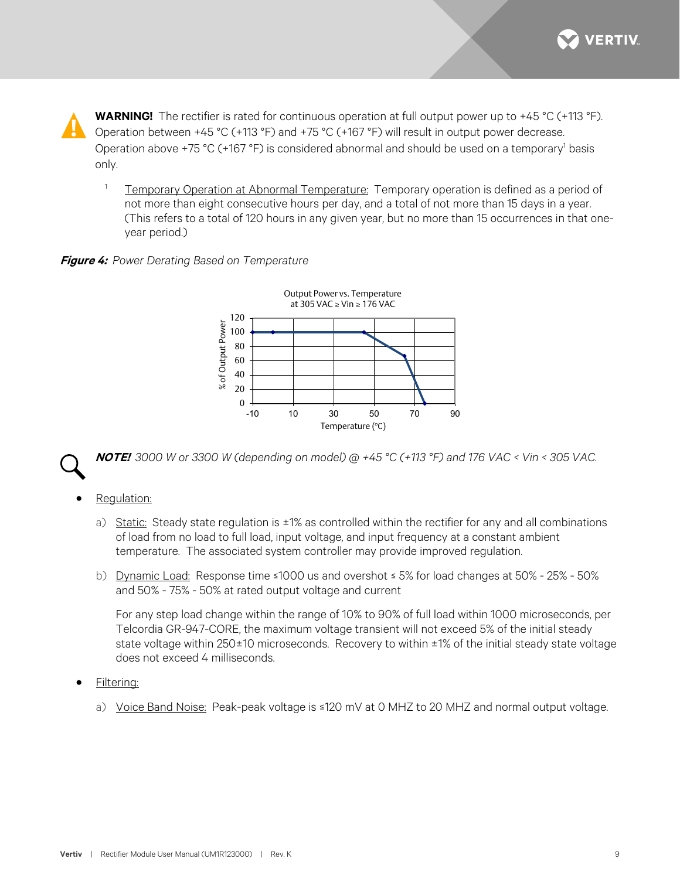

**WARNING!** The rectifier is rated for continuous operation at full output power up to +45 °C (+113 °F). Operation between +45 °C (+113 °F) and +75 °C (+167 °F) will result in output power decrease. Operation above +75 °C (+167 °F) is considered abnormal and should be used on a temporary<sup>1</sup> basis only.

<sup>1</sup> Temporary Operation at Abnormal Temperature: Temporary operation is defined as a period of not more than eight consecutive hours per day, and a total of not more than 15 days in a year. (This refers to a total of 120 hours in any given year, but no more than 15 occurrences in that oneyear period.)

<span id="page-8-0"></span>



**NOTE!** *3000 W or 3300 W (depending on model) @ +45 °C (+113 °F) and 176 VAC < Vin < 305 VAC.*

## Regulation:

- a) Static: Steady state regulation is ±1% as controlled within the rectifier for any and all combinations of load from no load to full load, input voltage, and input frequency at a constant ambient temperature. The associated system controller may provide improved regulation.
- b) Dynamic Load: Response time ≤1000 us and overshot ≤ 5% for load changes at 50% 25% 50% and 50% - 75% - 50% at rated output voltage and current

For any step load change within the range of 10% to 90% of full load within 1000 microseconds, per Telcordia GR-947-CORE, the maximum voltage transient will not exceed 5% of the initial steady state voltage within 250±10 microseconds. Recovery to within ±1% of the initial steady state voltage does not exceed 4 milliseconds.

- **Filtering:** 
	- a) Voice Band Noise: Peak-peak voltage is ≤120 mV at 0 MHZ to 20 MHZ and normal output voltage.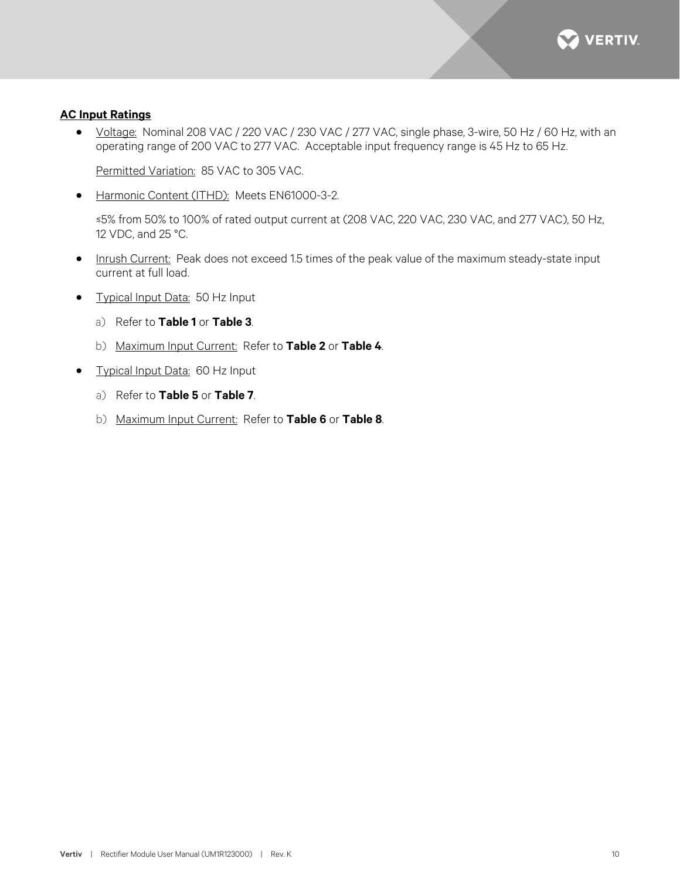

#### **AC Input Ratings**

• Voltage: Nominal 208 VAC / 220 VAC / 230 VAC / 277 VAC, single phase, 3-wire, 50 Hz / 60 Hz, with an operating range of 200 VAC to 277 VAC. Acceptable input frequency range is 45 Hz to 65 Hz.

Permitted Variation: 85 VAC to 305 VAC.

• Harmonic Content (ITHD): Meets EN61000-3-2.

≤5% from 50% to 100% of rated output current at (208 VAC, 220 VAC, 230 VAC, and 277 VAC), 50 Hz, 12 VDC, and 25 °C.

- Inrush Current: Peak does not exceed 1.5 times of the peak value of the maximum steady-state input current at full load.
- Typical Input Data: 50 Hz Input
	- a) Refer to **[Table 1](#page-10-0)** or **[Table 3](#page-11-0)**.
	- b) Maximum Input Current: Refer to **[Table 2](#page-10-1)** or **[Table 4](#page-11-1)**.
- Typical Input Data: 60 Hz Input
	- a) Refer to **[Table 5](#page-12-0)** or **[Table 7](#page-13-0)**.
	- b) Maximum Input Current: Refer to **[Table 6](#page-12-1)** or **[Table 8](#page-13-1)**.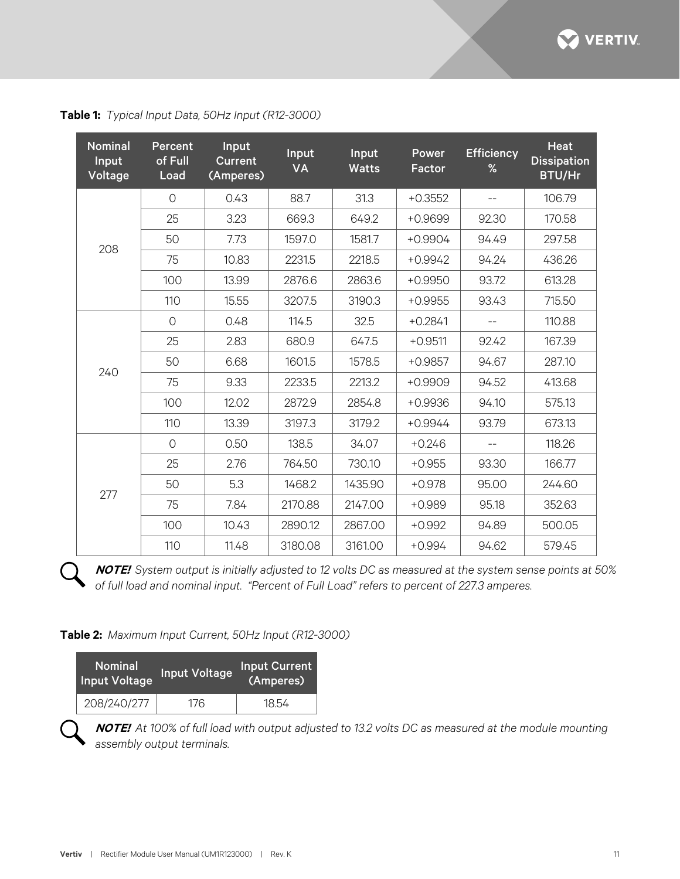

| <b>Nominal</b><br>Input<br>Voltage | <b>Percent</b><br>of Full<br>Load | Input<br><b>Current</b><br>(Amperes) | Input<br><b>VA</b> | Input<br><b>Watts</b> | <b>Power</b><br>Factor | <b>Efficiency</b><br>% | <b>Heat</b><br><b>Dissipation</b><br><b>BTU/Hr</b> |
|------------------------------------|-----------------------------------|--------------------------------------|--------------------|-----------------------|------------------------|------------------------|----------------------------------------------------|
|                                    | $\circ$                           | 0.43                                 | 88.7               | 31.3                  | $+0.3552$              | $-$                    | 106.79                                             |
|                                    | 25                                | 3.23                                 | 669.3              | 649.2                 | $+0.9699$              | 92.30                  | 170.58                                             |
| 208                                | 50                                | 7.73                                 | 1597.0             | 1581.7                | $+0.9904$              | 94.49                  | 297.58                                             |
|                                    | 75                                | 10.83                                | 2231.5             | 2218.5                | $+0.9942$              | 94.24                  | 436.26<br>613.28                                   |
|                                    | 100                               | 13.99                                | 2876.6             | 2863.6                | $+0.9950$              | 93.72                  |                                                    |
|                                    | 110                               | 15.55                                | 3207.5             | 3190.3                | $+0.9955$              | 93.43                  | 715.50                                             |
|                                    | $\circ$                           | 0.48                                 | 114.5              | 32.5                  | $+0.2841$              |                        | 110.88                                             |
|                                    | 25                                | 2.83                                 | 680.9              | 647.5                 | $+0.9511$              | 92.42                  | 167.39                                             |
| 240                                | 50                                | 6.68                                 | 1601.5             | 1578.5                | $+0.9857$              | 94.67                  | 287.10                                             |
|                                    | 75                                | 9.33                                 | 2233.5             | 2213.2                | $+0.9909$              | 94.52                  | 413.68                                             |
|                                    | 100                               | 12.02                                | 2872.9             | 2854.8                | $+0.9936$              | 94.10                  | 575.13                                             |
|                                    | 110                               | 13.39                                | 3197.3             | 3179.2                | $+0.9944$              | 93.79                  | 673.13                                             |
|                                    | $\overline{O}$                    | 0.50                                 | 138.5              | 34.07                 | $+0.246$               |                        | 118.26                                             |
|                                    | 25                                | 2.76                                 | 764.50             | 730.10                | $+0.955$               | 93.30                  | 166.77                                             |
| 277                                | 50                                | 5.3                                  | 1468.2             | 1435.90               | $+0.978$               | 95.00                  | 244.60                                             |
|                                    | 75                                | 7.84                                 | 2170.88            | 2147.00               | $+0.989$               | 95.18                  | 352.63                                             |
|                                    | 100                               | 10.43                                | 2890.12            | 2867.00               | $+0.992$               | 94.89                  | 500.05                                             |
|                                    | 110                               | 11.48                                | 3180.08            | 3161.00               | $+0.994$               | 94.62                  | 579.45                                             |

<span id="page-10-0"></span>**Table 1:** *Typical Input Data, 50Hz Input (R12-3000)*

**NOTE!** *System output is initially adjusted to 12 volts DC as measured at the system sense points at 50% of full load and nominal input. "Percent of Full Load" refers to percent of 227.3 amperes.*

## <span id="page-10-1"></span>**Table 2:** *Maximum Input Current, 50Hz Input (R12-3000)*

| <b>Nominal</b><br><b>Input Voltage</b> | <b>Input Voltage</b> | <b>Input Current</b><br>(Amperes) |
|----------------------------------------|----------------------|-----------------------------------|
| 208/240/277                            | 176                  | 18.54                             |

**NOTE!** *At 100% of full load with output adjusted to 13.2 volts DC as measured at the module mounting assembly output terminals.*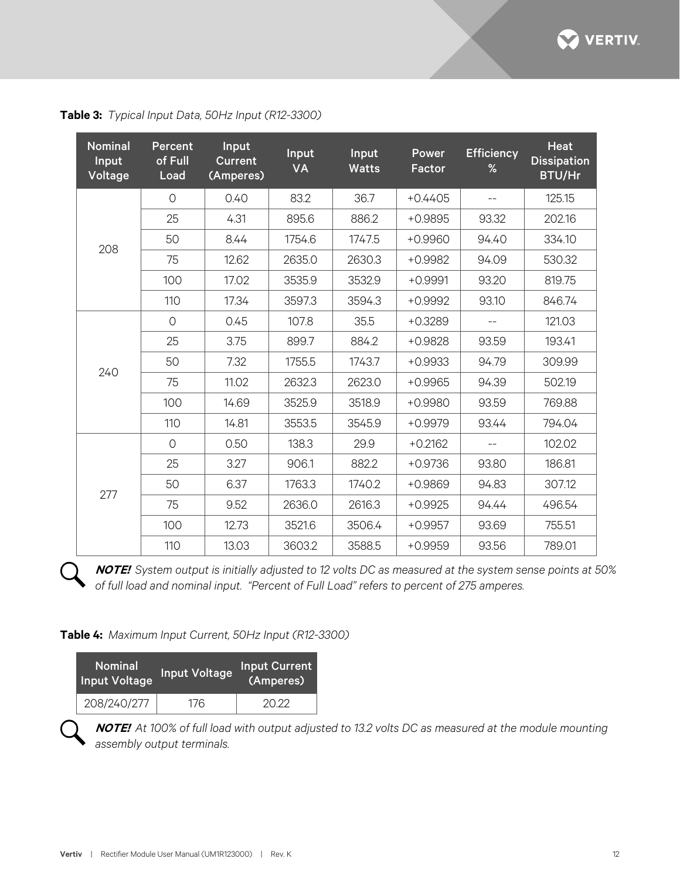

| <b>Nominal</b><br>Input<br>Voltage | <b>Percent</b><br>of Full<br>Load | Input<br><b>Current</b><br>(Amperes) | Input<br><b>VA</b> | Input<br><b>Watts</b> | <b>Power</b><br>Factor | <b>Efficiency</b><br>% | <b>Heat</b><br><b>Dissipation</b><br><b>BTU/Hr</b> |
|------------------------------------|-----------------------------------|--------------------------------------|--------------------|-----------------------|------------------------|------------------------|----------------------------------------------------|
|                                    | $\circ$                           | 0.40                                 | 83.2               | 36.7                  | $+0.4405$              | $-$                    | 125.15                                             |
|                                    | 25                                | 4.31                                 | 895.6              | 886.2                 | $+0.9895$              | 93.32                  | 202.16                                             |
| 208                                | 50                                | 8.44                                 | 1754.6             | 1747.5                | $+0.9960$              | 94.40                  | 334.10                                             |
|                                    | 75                                | 12.62                                | 2635.0             | 2630.3                | $+0.9982$              | 94.09                  | 530.32                                             |
|                                    | 100                               | 17.02                                | 3535.9             | 3532.9                | $+0.9991$              | 93.20                  | 819.75                                             |
|                                    | 110                               | 17.34                                | 3597.3             | 3594.3                | $+0.9992$              | 93.10                  | 846.74                                             |
|                                    | 0                                 | 0.45                                 | 107.8              | 35.5                  | $+0.3289$              |                        | 121.03                                             |
|                                    | 25                                | 3.75                                 | 899.7              | 884.2                 | $+0.9828$              | 93.59                  | 193.41                                             |
| 240                                | 50                                | 7.32                                 | 1755.5             | 1743.7                | $+0.9933$              | 94.79                  | 309.99                                             |
|                                    | 75                                | 11.02                                | 2632.3             | 2623.0                | $+0.9965$              | 94.39                  | 502.19                                             |
|                                    | 100                               | 14.69                                | 3525.9             | 3518.9                | $+0.9980$              | 93.59                  | 769.88                                             |
|                                    | 110                               | 14.81                                | 3553.5             | 3545.9                | $+0.9979$              | 93.44                  | 794.04                                             |
|                                    | 0                                 | 0.50                                 | 138.3              | 29.9                  | $+0.2162$              | $\qquad \qquad -$      | 102.02                                             |
|                                    | 25                                | 3.27                                 | 906.1              | 882.2                 | $+0.9736$              | 93.80                  | 186.81                                             |
| 277                                | 50                                | 6.37                                 | 1763.3             | 1740.2                | $+0.9869$              | 94.83                  | 307.12                                             |
|                                    | 75                                | 9.52                                 | 2636.0             | 2616.3                | $+0.9925$              | 94.44                  | 496.54                                             |
|                                    | 100                               | 12.73                                | 3521.6             | 3506.4                | $+0.9957$              | 93.69                  | 755.51                                             |
|                                    | 110                               | 13.03                                | 3603.2             | 3588.5                | $+0.9959$              | 93.56                  | 789.01                                             |

<span id="page-11-0"></span>**Table 3:** *Typical Input Data, 50Hz Input (R12-3300)*

**NOTE!** *System output is initially adjusted to 12 volts DC as measured at the system sense points at 50% of full load and nominal input. "Percent of Full Load" refers to percent of 275 amperes.*

## <span id="page-11-1"></span>**Table 4:** *Maximum Input Current, 50Hz Input (R12-3300)*

| <b>Nominal</b><br><b>Input Voltage</b> | <b>Input Voltage</b> | <b>Input Current</b><br>(Amperes) |
|----------------------------------------|----------------------|-----------------------------------|
| 208/240/277                            | 176                  | 20.22                             |

**NOTE!** *At 100% of full load with output adjusted to 13.2 volts DC as measured at the module mounting assembly output terminals.*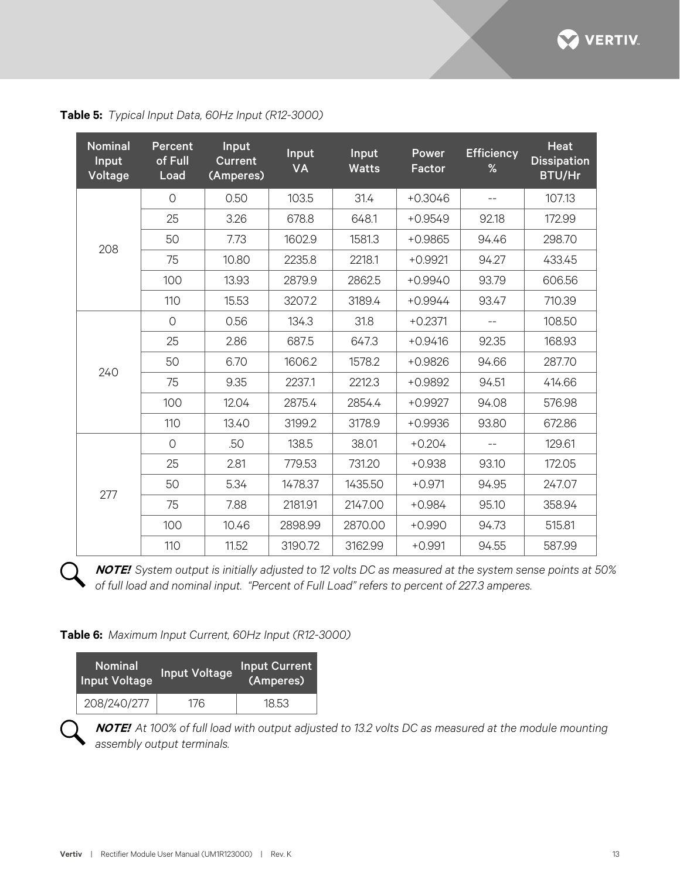

| <b>Nominal</b><br>Input<br>Voltage | Percent<br>of Full<br>Load | Input<br><b>Current</b><br>(Amperes) | Input<br><b>VA</b> | Input<br><b>Watts</b> | <b>Power</b><br>Factor | <b>Efficiency</b><br>% | <b>Heat</b><br><b>Dissipation</b><br><b>BTU/Hr</b> |
|------------------------------------|----------------------------|--------------------------------------|--------------------|-----------------------|------------------------|------------------------|----------------------------------------------------|
|                                    | $\circ$                    | 0.50                                 | 103.5              | 31.4                  | $+0.3046$              | $-$                    | 107.13                                             |
|                                    | 25                         | 3.26                                 | 678.8              | 648.1                 | $+0.9549$              | 92.18                  | 172.99                                             |
| 208                                | 50                         | 7.73                                 | 1602.9             | 1581.3                | $+0.9865$              | 94.46                  | 298.70                                             |
|                                    | 75                         | 10.80                                | 2235.8             | 2218.1                | $+0.9921$              | 94.27                  | 433.45                                             |
|                                    | 100                        | 13.93                                | 2879.9             | 2862.5                | $+0.9940$              | 93.79                  | 606.56<br>710.39                                   |
|                                    | 110                        | 15.53                                | 3207.2             | 3189.4                | $+0.9944$              | 93.47                  |                                                    |
|                                    | $\circ$                    | 0.56                                 | 134.3              | 31.8                  | $+0.2371$              |                        | 108.50                                             |
|                                    | 25                         | 2.86                                 | 687.5              | 647.3                 | $+0.9416$              | 92.35                  | 168.93                                             |
| 240                                | 50                         | 6.70                                 | 1606.2             | 1578.2                | $+0.9826$              | 94.66                  | 287.70                                             |
|                                    | 75                         | 9.35                                 | 2237.1             | 2212.3                | $+0.9892$              | 94.51                  | 414.66                                             |
|                                    | 100                        | 12.04                                | 2875.4             | 2854.4                | $+0.9927$              | 94.08                  | 576.98                                             |
|                                    | 110                        | 13.40                                | 3199.2             | 3178.9                | $+0.9936$              | 93.80                  | 672.86                                             |
|                                    | $\circ$                    | .50                                  | 138.5              | 38.01                 | $+0.204$               |                        | 129.61                                             |
|                                    | 25                         | 2.81                                 | 779.53             | 731.20                | $+0.938$               | 93.10                  | 172.05                                             |
| 277                                | 50                         | 5.34                                 | 1478.37            | 1435.50               | $+0.971$               | 94.95                  | 247.07                                             |
|                                    | 75                         | 7.88                                 | 2181.91            | 2147.00               | $+0.984$               | 95.10                  | 358.94                                             |
|                                    | 100                        | 10.46                                | 2898.99            | 2870.00               | $+0.990$               | 94.73                  | 515.81                                             |
|                                    | 110                        | 11.52                                | 3190.72            | 3162.99               | $+0.991$               | 94.55                  | 587.99                                             |

<span id="page-12-0"></span>**Table 5:** *Typical Input Data, 60Hz Input (R12-3000)*

**NOTE!** *System output is initially adjusted to 12 volts DC as measured at the system sense points at 50% of full load and nominal input. "Percent of Full Load" refers to percent of 227.3 amperes.*

## <span id="page-12-1"></span>**Table 6:** *Maximum Input Current, 60Hz Input (R12-3000)*

| <b>Nominal</b><br><b>Input Voltage</b> | <b>Input Voltage</b> | <b>Input Current</b><br>(Amperes) |
|----------------------------------------|----------------------|-----------------------------------|
| 208/240/277                            | 176                  | 18.53                             |

**NOTE!** *At 100% of full load with output adjusted to 13.2 volts DC as measured at the module mounting assembly output terminals.*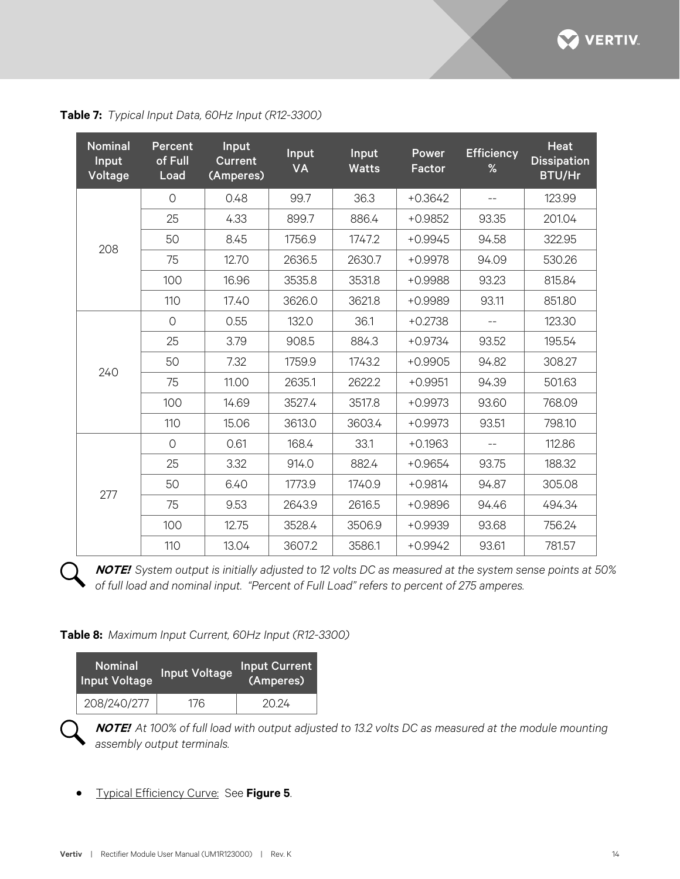**VERTIV** 

| <b>Nominal</b><br>Input<br>Voltage | Percent<br>of Full<br>Load | Input<br><b>Current</b><br>(Amperes) | Input<br><b>VA</b> | Input<br><b>Watts</b> | <b>Power</b><br>Factor | <b>Efficiency</b><br>% | <b>Heat</b><br><b>Dissipation</b><br><b>BTU/Hr</b> |
|------------------------------------|----------------------------|--------------------------------------|--------------------|-----------------------|------------------------|------------------------|----------------------------------------------------|
|                                    | $\circ$                    | 0.48                                 | 99.7               | 36.3                  | $+0.3642$              | $\overline{a}$         | 123.99                                             |
|                                    | 25                         | 4.33                                 | 899.7              | 886.4                 | $+0.9852$              | 93.35                  | 201.04                                             |
| 208                                | 50                         | 8.45                                 | 1756.9             | 1747.2                | $+0.9945$              | 94.58                  | 322.95                                             |
|                                    | 75                         | 12.70                                | 2636.5             | 2630.7                | $+0.9978$              | 94.09                  | 530.26                                             |
|                                    | 100                        | 16.96                                | 3535.8             | 3531.8                | $+0.9988$              | 93.23                  | 815.84                                             |
|                                    | 110                        | 17.40                                | 3626.0             | 3621.8                | $+0.9989$              | 93.11                  | 851.80                                             |
|                                    | $\circ$                    | 0.55                                 | 132.0              | 36.1                  | $+0.2738$              |                        | 123.30                                             |
|                                    | 25                         | 3.79                                 | 908.5              | 884.3                 | $+0.9734$              | 93.52                  | 195.54                                             |
| 240                                | 50                         | 7.32                                 | 1759.9             | 1743.2                | $+0.9905$              | 94.82                  | 308.27                                             |
|                                    | 75                         | 11.00                                | 2635.1             | 2622.2                | $+0.9951$              | 94.39                  | 501.63                                             |
|                                    | 100                        | 14.69                                | 3527.4             | 3517.8                | $+0.9973$              | 93.60                  | 768.09                                             |
|                                    | 110                        | 15.06                                | 3613.0             | 3603.4                | $+0.9973$              | 93.51                  | 798.10                                             |
|                                    | $\circ$                    | 0.61                                 | 168.4              | 33.1                  | $+0.1963$              |                        | 112.86                                             |
|                                    | 25<br>3.32<br>914.0        |                                      | 882.4              | $+0.9654$             | 93.75                  | 188.32                 |                                                    |
| 277                                | 50                         | 6.40                                 | 1773.9             | 1740.9                | $+0.9814$              | 94.87                  | 305.08                                             |
|                                    | 75                         | 9.53                                 | 2643.9             | 2616.5                | $+0.9896$              | 94.46                  | 494.34                                             |
|                                    | 100                        | 12.75                                | 3528.4             | 3506.9                | $+0.9939$              | 93.68                  | 756.24                                             |
|                                    | 110                        | 13.04                                | 3607.2             | 3586.1                | $+0.9942$              | 93.61                  | 781.57                                             |

<span id="page-13-0"></span>**Table 7:** *Typical Input Data, 60Hz Input (R12-3300)*

**NOTE!** *System output is initially adjusted to 12 volts DC as measured at the system sense points at 50% of full load and nominal input. "Percent of Full Load" refers to percent of 275 amperes.*

## <span id="page-13-1"></span>**Table 8:** *Maximum Input Current, 60Hz Input (R12-3300)*

| <b>Nominal</b><br><b>Input Voltage</b> | <b>Input Voltage</b> | <b>Input Current</b><br>(Amperes) |
|----------------------------------------|----------------------|-----------------------------------|
| 208/240/277                            | 176                  | 2024                              |

**NOTE!** *At 100% of full load with output adjusted to 13.2 volts DC as measured at the module mounting assembly output terminals.*

• Typical Efficiency Curve: See **[Figure 5](#page-14-0)**.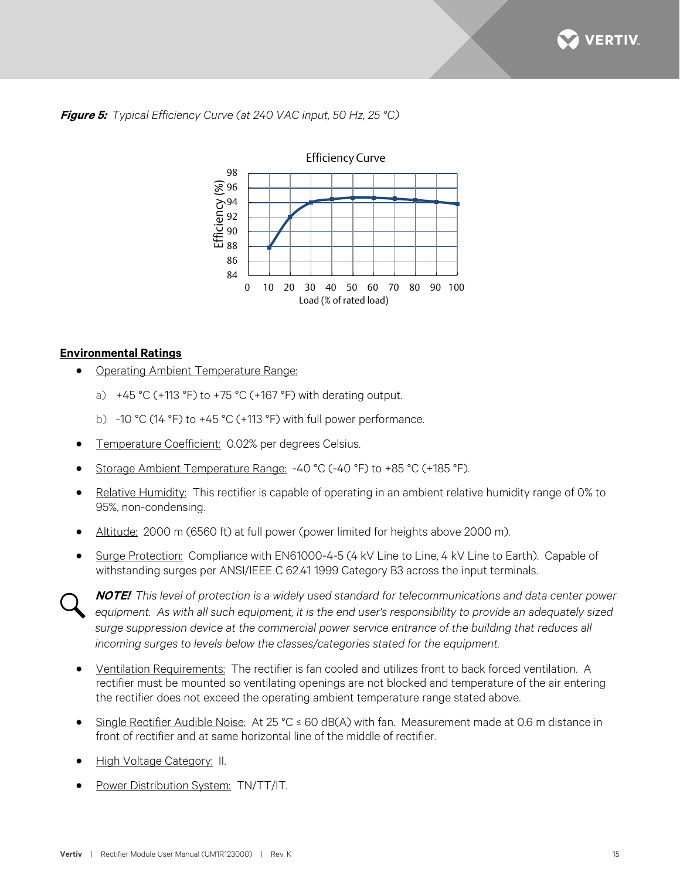

## <span id="page-14-0"></span>**Figure 5:** *Typical Efficiency Curve (at 240 VAC input, 50 Hz, 25 °C)*



#### **Environmental Ratings**

- Operating Ambient Temperature Range:
	- a) +45 °C (+113 °F) to +75 °C (+167 °F) with derating output.
	- b) -10 °C (14 °F) to +45 °C (+113 °F) with full power performance.
- Temperature Coefficient: 0.02% per degrees Celsius.
- Storage Ambient Temperature Range: -40 °C (-40 °F) to +85 °C (+185 °F).
- Relative Humidity: This rectifier is capable of operating in an ambient relative humidity range of 0% to 95%, non-condensing.
- Altitude: 2000 m (6560 ft) at full power (power limited for heights above 2000 m).
- Surge Protection: Compliance with EN61000-4-5 (4 kV Line to Line, 4 kV Line to Earth). Capable of withstanding surges per ANSI/IEEE C 62.41 1999 Category B3 across the input terminals.



- Ventilation Requirements: The rectifier is fan cooled and utilizes front to back forced ventilation. A rectifier must be mounted so ventilating openings are not blocked and temperature of the air entering the rectifier does not exceed the operating ambient temperature range stated above.
- Single Rectifier Audible Noise: At 25 °C ≤ 60 dB(A) with fan. Measurement made at 0.6 m distance in front of rectifier and at same horizontal line of the middle of rectifier.
- High Voltage Category: II.
- Power Distribution System: TN/TT/IT.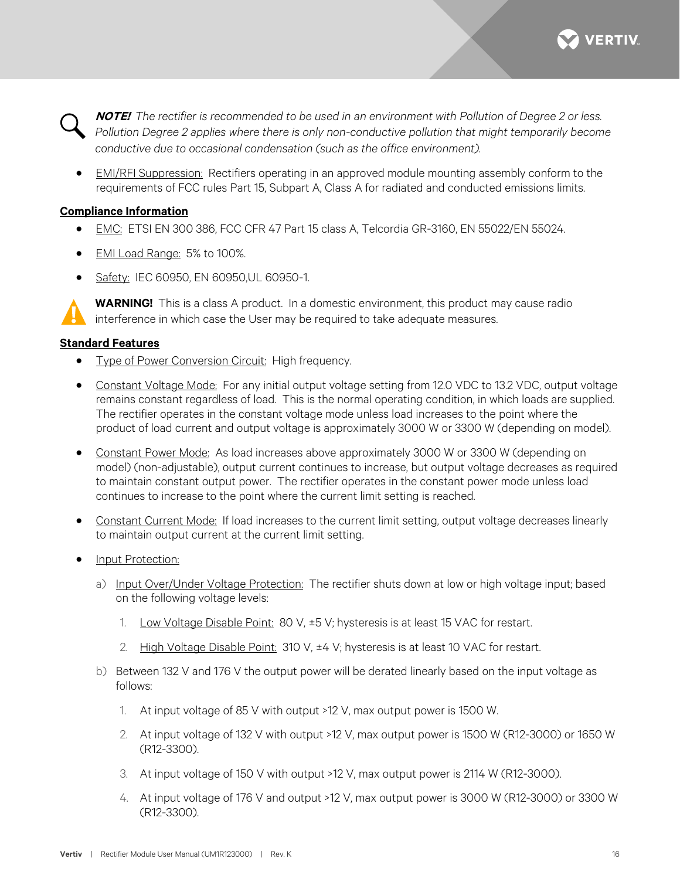

**NOTE!** *The rectifier is recommended to be used in an environment with Pollution of Degree 2 or less. Pollution Degree 2 applies where there is only non-conductive pollution that might temporarily become conductive due to occasional condensation (such as the office environment).*

• EMI/RFI Suppression: Rectifiers operating in an approved module mounting assembly conform to the requirements of FCC rules Part 15, Subpart A, Class A for radiated and conducted emissions limits.

#### **Compliance Information**

- EMC: ETSI EN 300 386, FCC CFR 47 Part 15 class A, Telcordia GR-3160, EN 55022/EN 55024.
- EMI Load Range: 5% to 100%.
- Safety: IEC 60950, EN 60950,UL 60950-1.

**WARNING!** This is a class A product. In a domestic environment, this product may cause radio interference in which case the User may be required to take adequate measures.

#### **Standard Features**

- Type of Power Conversion Circuit: High frequency.
- Constant Voltage Mode: For any initial output voltage setting from 12.0 VDC to 13.2 VDC, output voltage remains constant regardless of load. This is the normal operating condition, in which loads are supplied. The rectifier operates in the constant voltage mode unless load increases to the point where the product of load current and output voltage is approximately 3000 W or 3300 W (depending on model).
- Constant Power Mode: As load increases above approximately 3000 W or 3300 W (depending on model) (non-adjustable), output current continues to increase, but output voltage decreases as required to maintain constant output power. The rectifier operates in the constant power mode unless load continues to increase to the point where the current limit setting is reached.
- Constant Current Mode: If load increases to the current limit setting, output voltage decreases linearly to maintain output current at the current limit setting.
- **Input Protection:** 
	- a) Input Over/Under Voltage Protection: The rectifier shuts down at low or high voltage input; based on the following voltage levels:
		- 1. Low Voltage Disable Point: 80 V, ±5 V; hysteresis is at least 15 VAC for restart.
		- 2. High Voltage Disable Point: 310 V,  $\pm 4$  V; hysteresis is at least 10 VAC for restart.
	- b) Between 132 V and 176 V the output power will be derated linearly based on the input voltage as follows:
		- 1. At input voltage of 85 V with output >12 V, max output power is 1500 W.
		- 2. At input voltage of 132 V with output >12 V, max output power is 1500 W (R12-3000) or 1650 W (R12-3300).
		- 3. At input voltage of 150 V with output >12 V, max output power is 2114 W (R12-3000).
		- 4. At input voltage of 176 V and output >12 V, max output power is 3000 W (R12-3000) or 3300 W (R12-3300).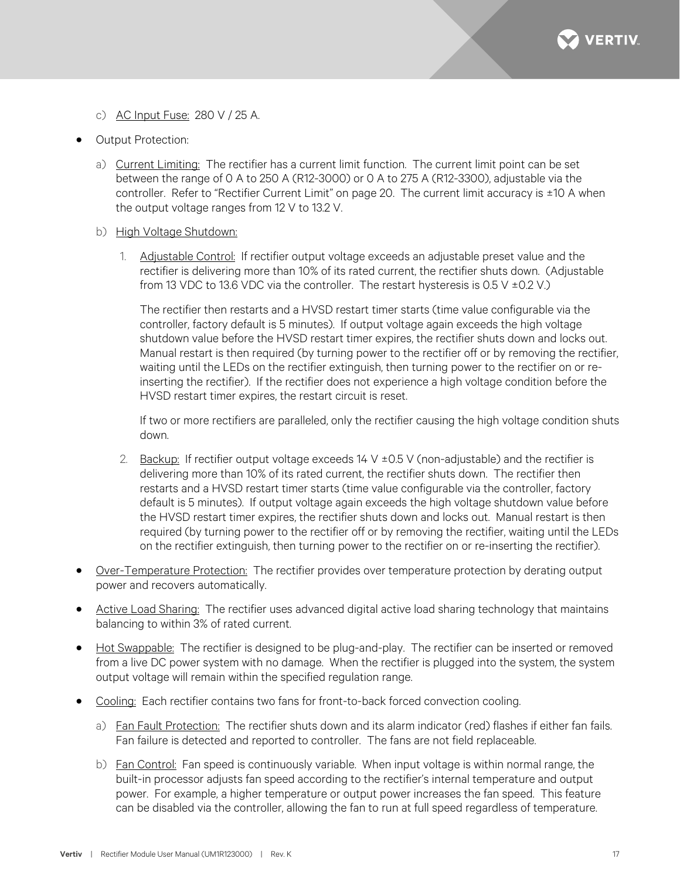

- c) AC Input Fuse: 280 V / 25 A.
- Output Protection:
	- a) Current Limiting: The rectifier has a current limit function. The current limit point can be set between the range of 0 A to 250 A (R12-3000) or 0 A to 275 A (R12-3300), adjustable via the controller. Refer to ["Rectifier Current Limit"](#page-19-1) on page [20.](#page-19-1) The current limit accuracy is ±10 A when the output voltage ranges from 12 V to 13.2 V.
	- b) High Voltage Shutdown:
		- 1. Adjustable Control: If rectifier output voltage exceeds an adjustable preset value and the rectifier is delivering more than 10% of its rated current, the rectifier shuts down. (Adjustable from 13 VDC to 13.6 VDC via the controller. The restart hysteresis is 0.5 V  $\pm$  0.2 V.)

The rectifier then restarts and a HVSD restart timer starts (time value configurable via the controller, factory default is 5 minutes). If output voltage again exceeds the high voltage shutdown value before the HVSD restart timer expires, the rectifier shuts down and locks out. Manual restart is then required (by turning power to the rectifier off or by removing the rectifier, waiting until the LEDs on the rectifier extinguish, then turning power to the rectifier on or reinserting the rectifier). If the rectifier does not experience a high voltage condition before the HVSD restart timer expires, the restart circuit is reset.

If two or more rectifiers are paralleled, only the rectifier causing the high voltage condition shuts down.

- 2. Backup: If rectifier output voltage exceeds  $14 \vee 10.5 \vee$  (non-adjustable) and the rectifier is delivering more than 10% of its rated current, the rectifier shuts down. The rectifier then restarts and a HVSD restart timer starts (time value configurable via the controller, factory default is 5 minutes). If output voltage again exceeds the high voltage shutdown value before the HVSD restart timer expires, the rectifier shuts down and locks out. Manual restart is then required (by turning power to the rectifier off or by removing the rectifier, waiting until the LEDs on the rectifier extinguish, then turning power to the rectifier on or re-inserting the rectifier).
- Over-Temperature Protection: The rectifier provides over temperature protection by derating output power and recovers automatically.
- Active Load Sharing: The rectifier uses advanced digital active load sharing technology that maintains balancing to within 3% of rated current.
- Hot Swappable: The rectifier is designed to be plug-and-play. The rectifier can be inserted or removed from a live DC power system with no damage. When the rectifier is plugged into the system, the system output voltage will remain within the specified regulation range.
- Cooling: Each rectifier contains two fans for front-to-back forced convection cooling.
	- a) Fan Fault Protection: The rectifier shuts down and its alarm indicator (red) flashes if either fan fails. Fan failure is detected and reported to controller. The fans are not field replaceable.
	- b) Fan Control: Fan speed is continuously variable. When input voltage is within normal range, the built-in processor adjusts fan speed according to the rectifier's internal temperature and output power. For example, a higher temperature or output power increases the fan speed. This feature can be disabled via the controller, allowing the fan to run at full speed regardless of temperature.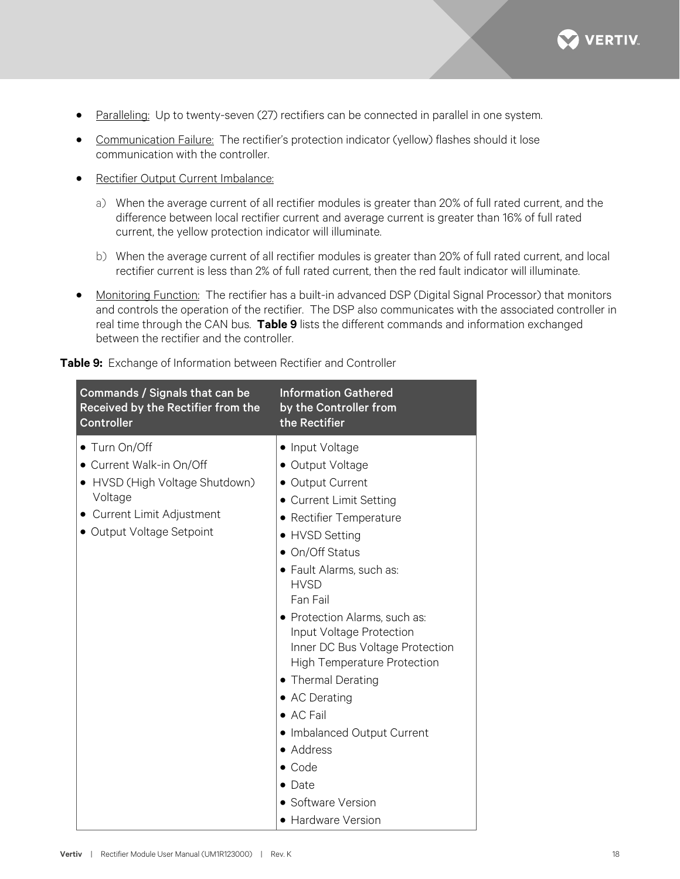

- Paralleling: Up to twenty-seven (27) rectifiers can be connected in parallel in one system.
- Communication Failure: The rectifier's protection indicator (yellow) flashes should it lose communication with the controller.
- Rectifier Output Current Imbalance:
	- a) When the average current of all rectifier modules is greater than 20% of full rated current, and the difference between local rectifier current and average current is greater than 16% of full rated current, the yellow protection indicator will illuminate.
	- b) When the average current of all rectifier modules is greater than 20% of full rated current, and local rectifier current is less than 2% of full rated current, then the red fault indicator will illuminate.
- Monitoring Function: The rectifier has a built-in advanced DSP (Digital Signal Processor) that monitors and controls the operation of the rectifier. The DSP also communicates with the associated controller in real time through the CAN bus. **[Table 9](#page-17-0)** lists the different commands and information exchanged between the rectifier and the controller.

| Commands / Signals that can be                                                                                                                    | <b>Information Gathered</b>                                                                                                                                                                                                                                                                                                                                                                                                                                                                                              |
|---------------------------------------------------------------------------------------------------------------------------------------------------|--------------------------------------------------------------------------------------------------------------------------------------------------------------------------------------------------------------------------------------------------------------------------------------------------------------------------------------------------------------------------------------------------------------------------------------------------------------------------------------------------------------------------|
| Received by the Rectifier from the                                                                                                                | by the Controller from                                                                                                                                                                                                                                                                                                                                                                                                                                                                                                   |
| Controller                                                                                                                                        | the Rectifier                                                                                                                                                                                                                                                                                                                                                                                                                                                                                                            |
| • Turn On/Off<br>• Current Walk-in On/Off<br>• HVSD (High Voltage Shutdown)<br>Voltage<br>• Current Limit Adjustment<br>• Output Voltage Setpoint | • Input Voltage<br>• Output Voltage<br>• Output Current<br>• Current Limit Setting<br>• Rectifier Temperature<br>• HVSD Setting<br>• On/Off Status<br>• Fault Alarms, such as:<br><b>HVSD</b><br>Fan Fail<br>• Protection Alarms, such as:<br>Input Voltage Protection<br>Inner DC Bus Voltage Protection<br>High Temperature Protection<br>• Thermal Derating<br>• AC Derating<br>• AC Fail<br>• Imbalanced Output Current<br>• Address<br>$\bullet$ Code<br>$\bullet$ Date<br>• Software Version<br>• Hardware Version |

<span id="page-17-0"></span>**Table 9:** Exchange of Information between Rectifier and Controller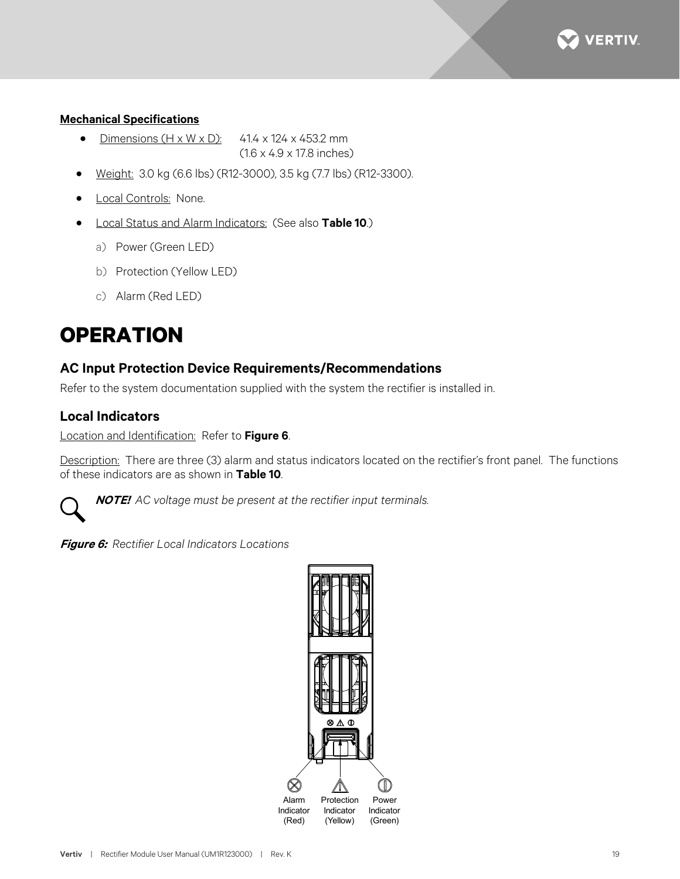

#### **Mechanical Specifications**

- Dimensions  $(H \times W \times D)$ : 41.4 x 124 x 453.2 mm (1.6 x 4.9 x 17.8 inches)
- Weight: 3.0 kg (6.6 lbs) (R12-3000), 3.5 kg (7.7 lbs) (R12-3300).
- Local Controls: None.
- Local Status and Alarm Indicators: (See also **[Table 10](#page-19-2)**.)
	- a) Power (Green LED)
	- b) Protection (Yellow LED)
	- c) Alarm (Red LED)

# <span id="page-18-0"></span>**OPERATION**

## <span id="page-18-1"></span>**AC Input Protection Device Requirements/Recommendations**

Refer to the system documentation supplied with the system the rectifier is installed in.

# <span id="page-18-2"></span>**Local Indicators**

Location and Identification: Refer to **[Figure 6](#page-18-3)**.

Description: There are three (3) alarm and status indicators located on the rectifier's front panel. The functions of these indicators are as shown in **[Table 10](#page-19-2)**.



**NOTE!** *AC voltage must be present at the rectifier input terminals.*

<span id="page-18-3"></span>**Figure 6:** *Rectifier Local Indicators Locations*

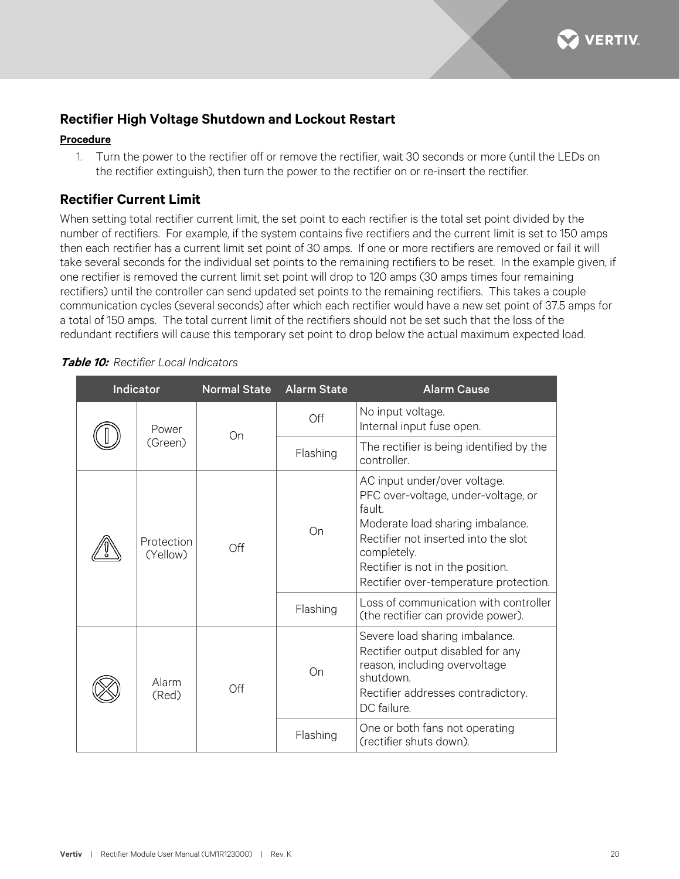

# <span id="page-19-0"></span>**Rectifier High Voltage Shutdown and Lockout Restart**

#### **Procedure**

1. Turn the power to the rectifier off or remove the rectifier, wait 30 seconds or more (until the LEDs on the rectifier extinguish), then turn the power to the rectifier on or re-insert the rectifier.

## <span id="page-19-1"></span>**Rectifier Current Limit**

When setting total rectifier current limit, the set point to each rectifier is the total set point divided by the number of rectifiers. For example, if the system contains five rectifiers and the current limit is set to 150 amps then each rectifier has a current limit set point of 30 amps. If one or more rectifiers are removed or fail it will take several seconds for the individual set points to the remaining rectifiers to be reset. In the example given, if one rectifier is removed the current limit set point will drop to 120 amps (30 amps times four remaining rectifiers) until the controller can send updated set points to the remaining rectifiers. This takes a couple communication cycles (several seconds) after which each rectifier would have a new set point of 37.5 amps for a total of 150 amps. The total current limit of the rectifiers should not be set such that the loss of the redundant rectifiers will cause this temporary set point to drop below the actual maximum expected load.

| <b>Indicator</b> |                        | <b>Normal State</b> | <b>Alarm State</b> | <b>Alarm Cause</b>                                                                                                                                                                                                                                      |
|------------------|------------------------|---------------------|--------------------|---------------------------------------------------------------------------------------------------------------------------------------------------------------------------------------------------------------------------------------------------------|
|                  | Power<br>On            |                     | Off                | No input voltage.<br>Internal input fuse open.                                                                                                                                                                                                          |
|                  | (Green)                |                     | Flashing           | The rectifier is being identified by the<br>controller.                                                                                                                                                                                                 |
|                  | Protection<br>(Yellow) | Off                 | On                 | AC input under/over voltage.<br>PFC over-voltage, under-voltage, or<br>fault.<br>Moderate load sharing imbalance.<br>Rectifier not inserted into the slot<br>completely.<br>Rectifier is not in the position.<br>Rectifier over-temperature protection. |
|                  |                        |                     | Flashing           | Loss of communication with controller<br>(the rectifier can provide power).                                                                                                                                                                             |
|                  | Alarm<br>Off<br>(Red)  |                     | On                 | Severe load sharing imbalance.<br>Rectifier output disabled for any<br>reason, including overvoltage<br>shutdown.<br>Rectifier addresses contradictory.<br>DC failure.                                                                                  |
|                  |                        |                     | Flashing           | One or both fans not operating<br>(rectifier shuts down).                                                                                                                                                                                               |

#### <span id="page-19-2"></span>**Table 10:** *Rectifier Local Indicators*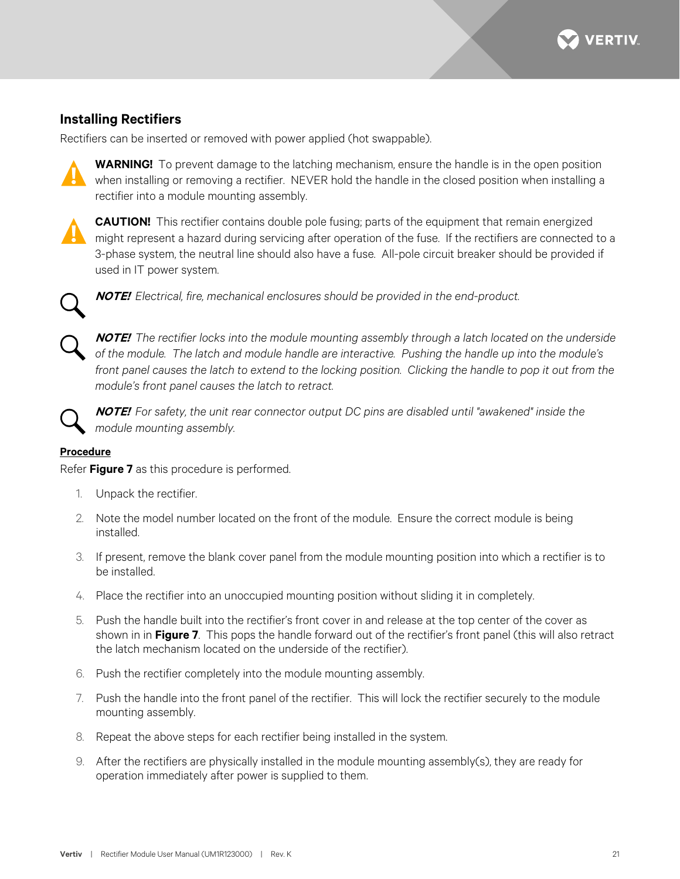

# <span id="page-20-0"></span>**Installing Rectifiers**

Rectifiers can be inserted or removed with power applied (hot swappable).



**WARNING!** To prevent damage to the latching mechanism, ensure the handle is in the open position when installing or removing a rectifier. NEVER hold the handle in the closed position when installing a rectifier into a module mounting assembly.



**CAUTION!** This rectifier contains double pole fusing; parts of the equipment that remain energized  $\blacktriangleright$  might represent a hazard during servicing after operation of the fuse. If the rectifiers are connected to a 3-phase system, the neutral line should also have a fuse. All-pole circuit breaker should be provided if used in IT power system.



**NOTE!** *Electrical, fire, mechanical enclosures should be provided in the end-product.*



**NOTE!** *The rectifier locks into the module mounting assembly through a latch located on the underside of the module. The latch and module handle are interactive. Pushing the handle up into the module's front panel causes the latch to extend to the locking position. Clicking the handle to pop it out from the module's front panel causes the latch to retract.*



**NOTE!** *For safety, the unit rear connector output DC pins are disabled until "awakened" inside the module mounting assembly.*

#### **Procedure**

Refer **[Figure 7](#page-22-0)** as this procedure is performed.

- 1. Unpack the rectifier.
- 2. Note the model number located on the front of the module. Ensure the correct module is being installed.
- 3. If present, remove the blank cover panel from the module mounting position into which a rectifier is to be installed.
- 4. Place the rectifier into an unoccupied mounting position without sliding it in completely.
- 5. Push the handle built into the rectifier's front cover in and release at the top center of the cover as shown in in **[Figure 7](#page-22-0)**. This pops the handle forward out of the rectifier's front panel (this will also retract the latch mechanism located on the underside of the rectifier).
- 6. Push the rectifier completely into the module mounting assembly.
- 7. Push the handle into the front panel of the rectifier. This will lock the rectifier securely to the module mounting assembly.
- 8. Repeat the above steps for each rectifier being installed in the system.
- 9. After the rectifiers are physically installed in the module mounting assembly(s), they are ready for operation immediately after power is supplied to them.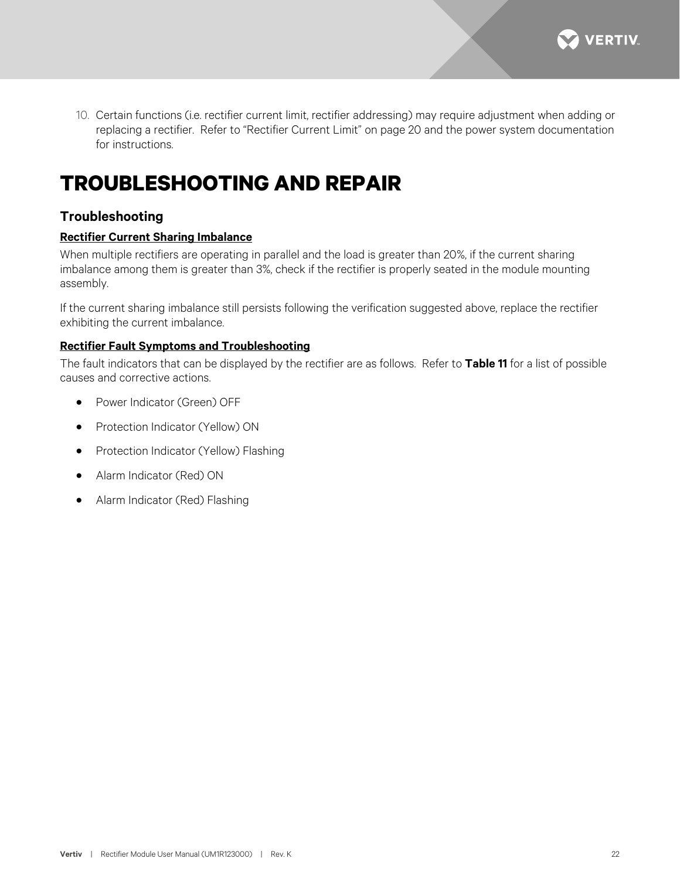

10. Certain functions (i.e. rectifier current limit, rectifier addressing) may require adjustment when adding or replacing a rectifier. Refer to ["Rectifier Current Limit"](#page-19-1) on pag[e 20](#page-19-1) and the power system documentation for instructions.

# <span id="page-21-0"></span>**TROUBLESHOOTING AND REPAIR**

# <span id="page-21-1"></span>**Troubleshooting**

### **Rectifier Current Sharing Imbalance**

When multiple rectifiers are operating in parallel and the load is greater than 20%, if the current sharing imbalance among them is greater than 3%, check if the rectifier is properly seated in the module mounting assembly.

If the current sharing imbalance still persists following the verification suggested above, replace the rectifier exhibiting the current imbalance.

### **Rectifier Fault Symptoms and Troubleshooting**

The fault indicators that can be displayed by the rectifier are as follows. Refer to **[Table 11](#page-23-0)** for a list of possible causes and corrective actions.

- Power Indicator (Green) OFF
- Protection Indicator (Yellow) ON
- Protection Indicator (Yellow) Flashing
- Alarm Indicator (Red) ON
- Alarm Indicator (Red) Flashing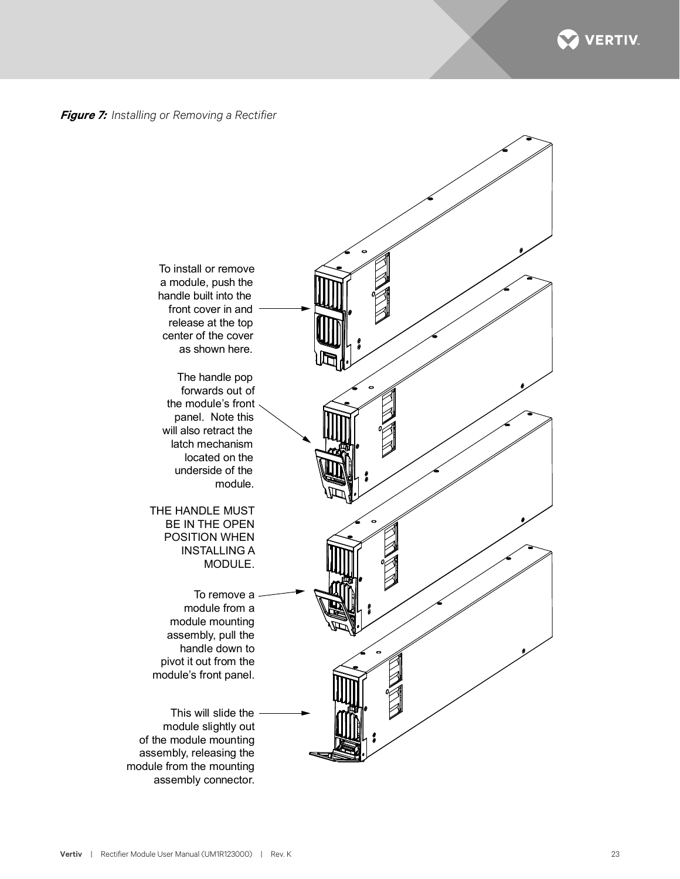

<span id="page-22-0"></span>**Figure 7:** *Installing or Removing a Rectifier*

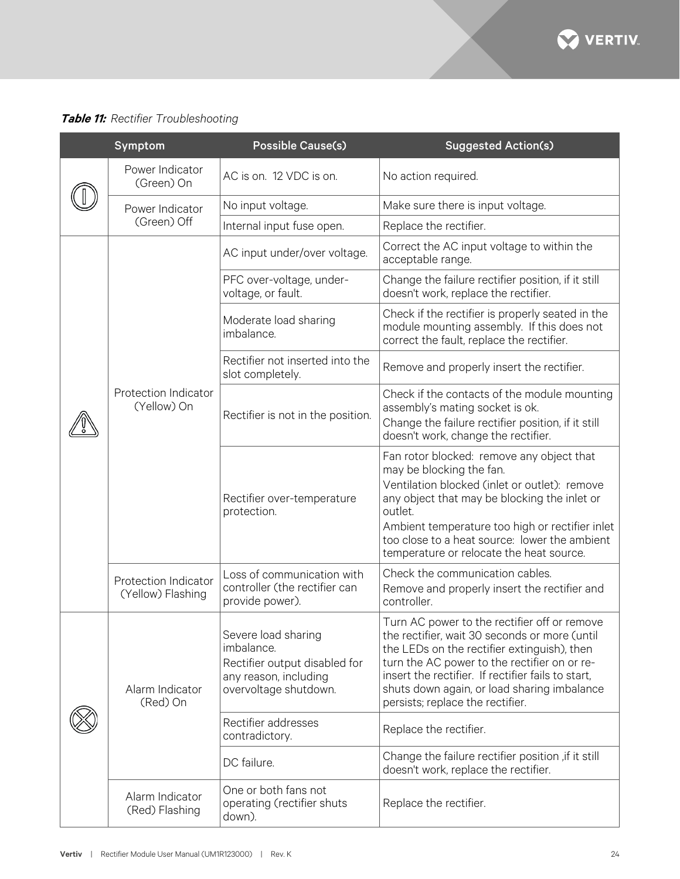

<span id="page-23-0"></span>

|  | Symptom                                   | <b>Possible Cause(s)</b>                                                                                             | <b>Suggested Action(s)</b>                                                                                                                                                                                                                                                                                                            |
|--|-------------------------------------------|----------------------------------------------------------------------------------------------------------------------|---------------------------------------------------------------------------------------------------------------------------------------------------------------------------------------------------------------------------------------------------------------------------------------------------------------------------------------|
|  | Power Indicator<br>(Green) On             | AC is on. 12 VDC is on.                                                                                              | No action required.                                                                                                                                                                                                                                                                                                                   |
|  | Power Indicator<br>(Green) Off            | No input voltage.                                                                                                    | Make sure there is input voltage.                                                                                                                                                                                                                                                                                                     |
|  |                                           | Internal input fuse open.                                                                                            | Replace the rectifier.                                                                                                                                                                                                                                                                                                                |
|  | Protection Indicator<br>(Yellow) On       | AC input under/over voltage.                                                                                         | Correct the AC input voltage to within the<br>acceptable range.                                                                                                                                                                                                                                                                       |
|  |                                           | PFC over-voltage, under-<br>voltage, or fault.                                                                       | Change the failure rectifier position, if it still<br>doesn't work, replace the rectifier.                                                                                                                                                                                                                                            |
|  |                                           | Moderate load sharing<br>imbalance.                                                                                  | Check if the rectifier is properly seated in the<br>module mounting assembly. If this does not<br>correct the fault, replace the rectifier.                                                                                                                                                                                           |
|  |                                           | Rectifier not inserted into the<br>slot completely.                                                                  | Remove and properly insert the rectifier.                                                                                                                                                                                                                                                                                             |
|  |                                           | Rectifier is not in the position.                                                                                    | Check if the contacts of the module mounting<br>assembly's mating socket is ok.<br>Change the failure rectifier position, if it still<br>doesn't work, change the rectifier.                                                                                                                                                          |
|  |                                           | Rectifier over-temperature<br>protection.                                                                            | Fan rotor blocked: remove any object that<br>may be blocking the fan.<br>Ventilation blocked (inlet or outlet): remove<br>any object that may be blocking the inlet or<br>outlet.<br>Ambient temperature too high or rectifier inlet<br>too close to a heat source: lower the ambient<br>temperature or relocate the heat source.     |
|  | Protection Indicator<br>(Yellow) Flashing | Loss of communication with<br>controller (the rectifier can<br>provide power).                                       | Check the communication cables.<br>Remove and properly insert the rectifier and<br>controller.                                                                                                                                                                                                                                        |
|  | Alarm Indicator<br>(Red) On               | Severe load sharing<br>imbalance.<br>Rectifier output disabled for<br>any reason, including<br>overvoltage shutdown. | Turn AC power to the rectifier off or remove<br>the rectifier, wait 30 seconds or more (until<br>the LEDs on the rectifier extinguish), then<br>turn the AC power to the rectifier on or re-<br>insert the rectifier. If rectifier fails to start,<br>shuts down again, or load sharing imbalance<br>persists; replace the rectifier. |
|  |                                           | Rectifier addresses<br>contradictory.                                                                                | Replace the rectifier.                                                                                                                                                                                                                                                                                                                |
|  |                                           | DC failure.                                                                                                          | Change the failure rectifier position, if it still<br>doesn't work, replace the rectifier.                                                                                                                                                                                                                                            |
|  | Alarm Indicator<br>(Red) Flashing         | One or both fans not<br>operating (rectifier shuts<br>down).                                                         | Replace the rectifier.                                                                                                                                                                                                                                                                                                                |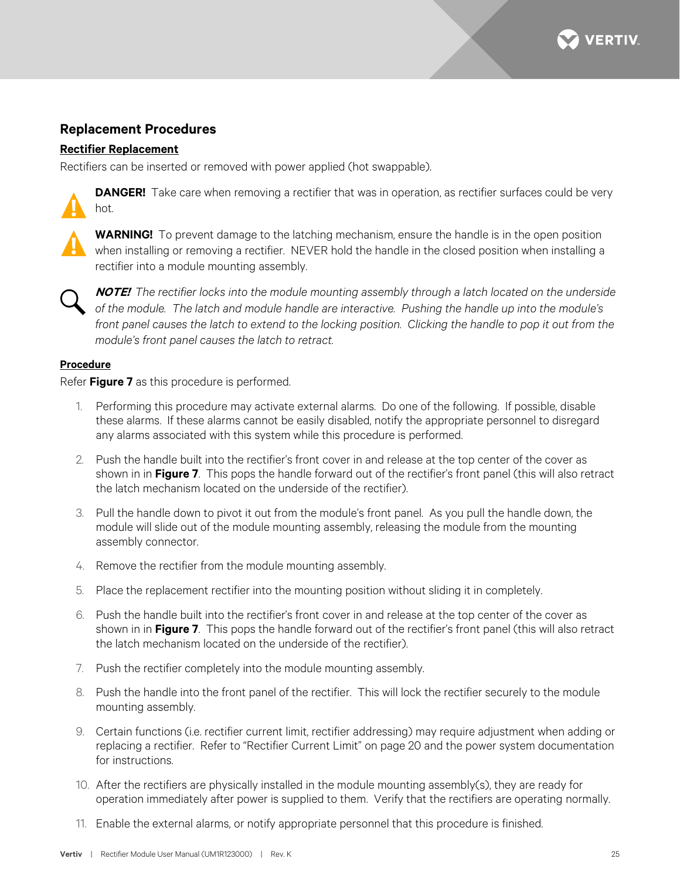

## <span id="page-24-0"></span>**Replacement Procedures**

#### **Rectifier Replacement**

Rectifiers can be inserted or removed with power applied (hot swappable).



**DANGER!** Take care when removing a rectifier that was in operation, as rectifier surfaces could be very hot.



**WARNING!** To prevent damage to the latching mechanism, ensure the handle is in the open position when installing or removing a rectifier. NEVER hold the handle in the closed position when installing a rectifier into a module mounting assembly.



**NOTE!** *The rectifier locks into the module mounting assembly through a latch located on the underside of the module. The latch and module handle are interactive. Pushing the handle up into the module's front panel causes the latch to extend to the locking position. Clicking the handle to pop it out from the module's front panel causes the latch to retract.*

#### **Procedure**

Refer **[Figure 7](#page-22-0)** as this procedure is performed.

- 1. Performing this procedure may activate external alarms. Do one of the following. If possible, disable these alarms. If these alarms cannot be easily disabled, notify the appropriate personnel to disregard any alarms associated with this system while this procedure is performed.
- 2. Push the handle built into the rectifier's front cover in and release at the top center of the cover as shown in in **[Figure 7](#page-22-0)**. This pops the handle forward out of the rectifier's front panel (this will also retract the latch mechanism located on the underside of the rectifier).
- 3. Pull the handle down to pivot it out from the module's front panel. As you pull the handle down, the module will slide out of the module mounting assembly, releasing the module from the mounting assembly connector.
- 4. Remove the rectifier from the module mounting assembly.
- 5. Place the replacement rectifier into the mounting position without sliding it in completely.
- 6. Push the handle built into the rectifier's front cover in and release at the top center of the cover as shown in in **[Figure 7](#page-22-0)**. This pops the handle forward out of the rectifier's front panel (this will also retract the latch mechanism located on the underside of the rectifier).
- 7. Push the rectifier completely into the module mounting assembly.
- 8. Push the handle into the front panel of the rectifier. This will lock the rectifier securely to the module mounting assembly.
- 9. Certain functions (i.e. rectifier current limit, rectifier addressing) may require adjustment when adding or replacing a rectifier. Refer to ["Rectifier Current Limit"](#page-19-1) on pag[e 20](#page-19-1) and the power system documentation for instructions.
- 10. After the rectifiers are physically installed in the module mounting assembly(s), they are ready for operation immediately after power is supplied to them. Verify that the rectifiers are operating normally.
- 11. Enable the external alarms, or notify appropriate personnel that this procedure is finished.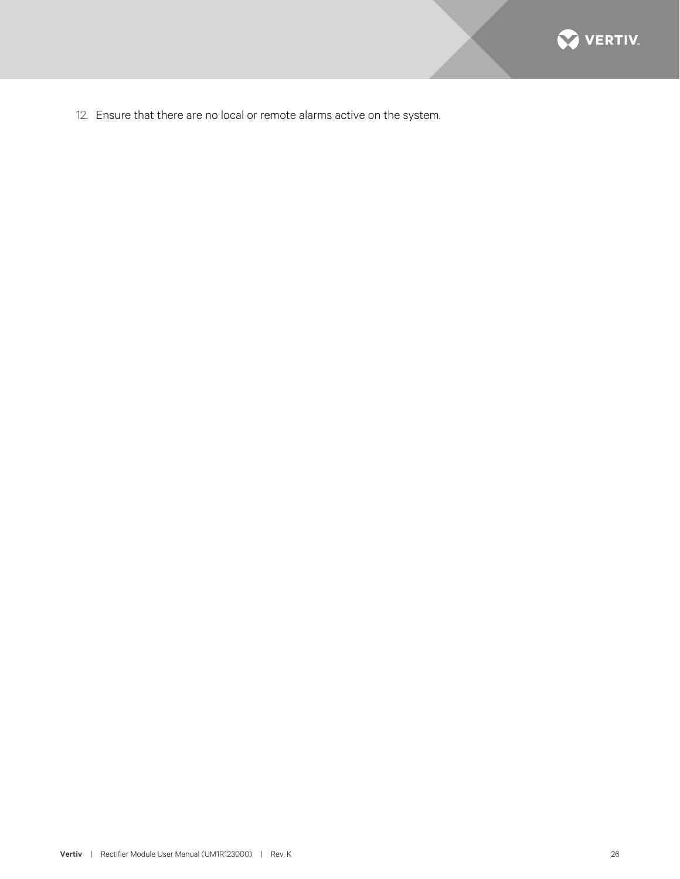

12. Ensure that there are no local or remote alarms active on the system.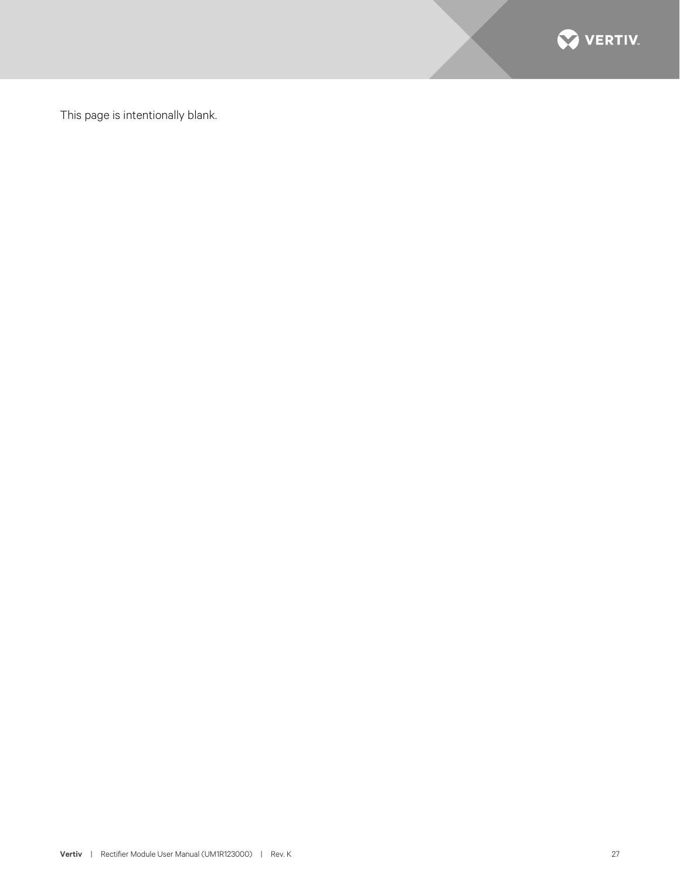

This page is intentionally blank.